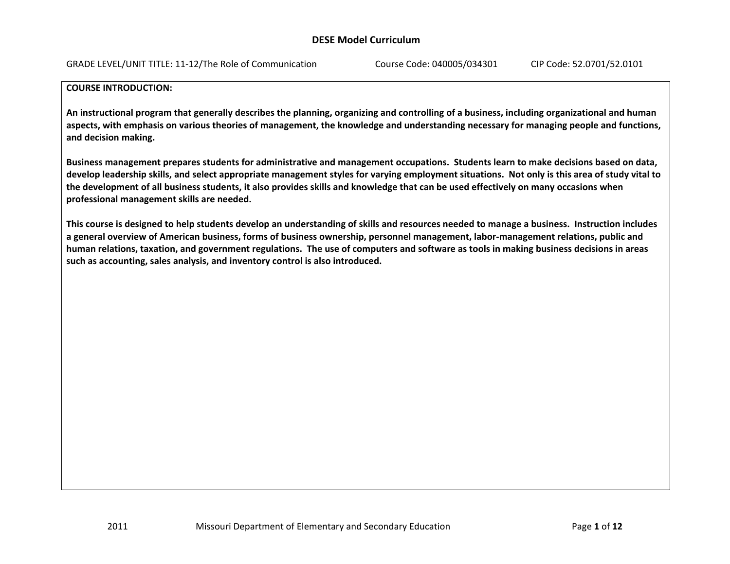#### **COURSE INTRODUCTION:**

2011

An instructional program that generally describes the planning, organizing and controlling of a business, including organizational and human aspects, with emphasis on various theories of management, the knowledge and understanding necessary for managing people and functions, **and decision making.**

Business management prepares students for administrative and management occupations. Students learn to make decisions based on data, develop leadership skills, and select appropriate management styles for varying employment situations. Not only is this area of study vital to the development of all business students, it also provides skills and knowledge that can be used effectively on many occasions when **professional management skills are needed.**

This course is designed to help students develop an understanding of skills and resources needed to manage a business. Instruction includes a general overview of American business, forms of business ownership, personnel management, labor-management relations, public and human relations, taxation, and government regulations. The use of computers and software as tools in making business decisions in areas **such as accounting, sales analysis, and inventory control is also introduced.**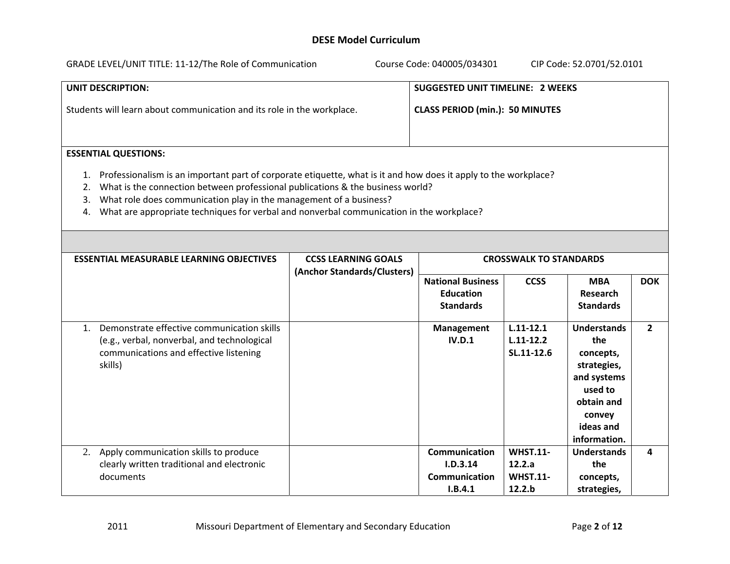| GRADE LEVEL/UNIT TITLE: 11-12/The Role of Communication                |  | Course Code: 040005/034301              | CIP Code: 52.0701/52.0101 |
|------------------------------------------------------------------------|--|-----------------------------------------|---------------------------|
| UNIT DESCRIPTION:                                                      |  | <b>SUGGESTED UNIT TIMELINE: 2 WEEKS</b> |                           |
| Students will learn about communication and its role in the workplace. |  | <b>CLASS PERIOD (min.): 50 MINUTES</b>  |                           |
|                                                                        |  |                                         |                           |

# **ESSENTIAL QUESTIONS:**

- 1. Professionalism is an important part of corporate etiquette, what is it and how does it apply to the workplace?
- 2. What is the connection between professional publications & the business world?
- 3. What role does communication play in the management of <sup>a</sup> business?
- 4. What are appropriate techniques for verbal and nonverbal communication in the workplace?

| <b>ESSENTIAL MEASURABLE LEARNING OBJECTIVES</b>                                                                                                      | <b>CCSS LEARNING GOALS</b><br>(Anchor Standards/Clusters) | <b>CROSSWALK TO STANDARDS</b>                                    |                                                        |                                                                                                                                      |                |
|------------------------------------------------------------------------------------------------------------------------------------------------------|-----------------------------------------------------------|------------------------------------------------------------------|--------------------------------------------------------|--------------------------------------------------------------------------------------------------------------------------------------|----------------|
|                                                                                                                                                      |                                                           | <b>National Business</b><br><b>Education</b><br><b>Standards</b> | <b>CCSS</b>                                            | <b>MBA</b><br>Research<br><b>Standards</b>                                                                                           | <b>DOK</b>     |
| Demonstrate effective communication skills<br>1.<br>(e.g., verbal, nonverbal, and technological<br>communications and effective listening<br>skills) |                                                           | Management<br>IV.D.1                                             | $L.11 - 12.1$<br>$L.11 - 12.2$<br>SL.11-12.6           | <b>Understands</b><br>the<br>concepts,<br>strategies,<br>and systems<br>used to<br>obtain and<br>convey<br>ideas and<br>information. | $\overline{2}$ |
| Apply communication skills to produce<br>2.<br>clearly written traditional and electronic<br>documents                                               |                                                           | Communication<br>I.D.3.14<br>Communication<br>I.B.4.1            | <b>WHST.11-</b><br>12.2.a<br><b>WHST.11-</b><br>12.2.b | <b>Understands</b><br>the<br>concepts,<br>strategies,                                                                                | 4              |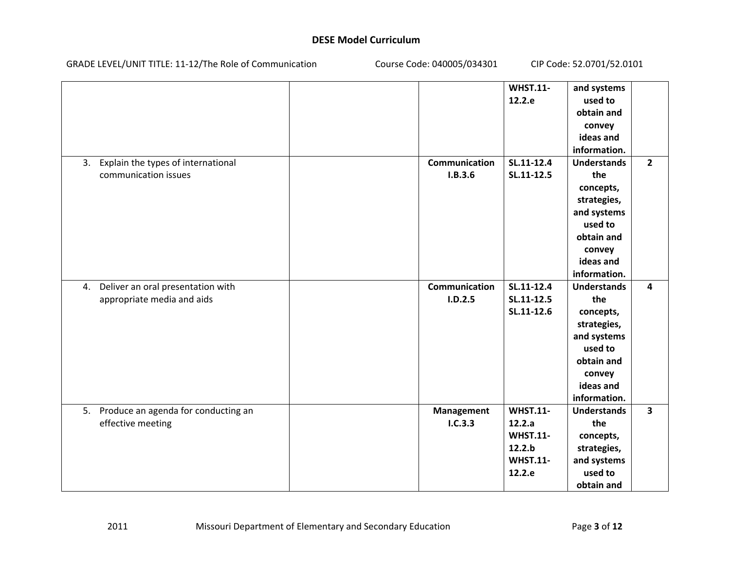GRADE LEVEL/UNIT TITLE: 11‐12/The Role of Communication Course Code: 040005/034301 CIP Code: 52.0701/52.0101

|                                          |                       | <b>WHST.11-</b> | and systems        |                         |
|------------------------------------------|-----------------------|-----------------|--------------------|-------------------------|
|                                          |                       | 12.2.e          | used to            |                         |
|                                          |                       |                 | obtain and         |                         |
|                                          |                       |                 | convey             |                         |
|                                          |                       |                 | ideas and          |                         |
|                                          |                       |                 | information.       |                         |
| Explain the types of international<br>3. | <b>Communication</b>  | SL.11-12.4      | <b>Understands</b> | $\overline{2}$          |
| communication issues                     | I.B.3.6               | SL.11-12.5      | the                |                         |
|                                          |                       |                 | concepts,          |                         |
|                                          |                       |                 | strategies,        |                         |
|                                          |                       |                 | and systems        |                         |
|                                          |                       |                 | used to            |                         |
|                                          |                       |                 | obtain and         |                         |
|                                          |                       |                 | convey             |                         |
|                                          |                       |                 | ideas and          |                         |
|                                          |                       |                 | information.       |                         |
| Deliver an oral presentation with<br>4.  | <b>Communication</b>  | SL.11-12.4      | <b>Understands</b> | $\overline{\mathbf{4}}$ |
| appropriate media and aids               | I.D.2.5               | SL.11-12.5      | the                |                         |
|                                          |                       | SL.11-12.6      | concepts,          |                         |
|                                          |                       |                 | strategies,        |                         |
|                                          |                       |                 | and systems        |                         |
|                                          |                       |                 | used to            |                         |
|                                          |                       |                 | obtain and         |                         |
|                                          |                       |                 | convey             |                         |
|                                          |                       |                 | ideas and          |                         |
|                                          |                       |                 | information.       |                         |
|                                          |                       | <b>WHST.11-</b> |                    | $\overline{\mathbf{3}}$ |
| 5. Produce an agenda for conducting an   | Management<br>I.C.3.3 | 12.2.a          | <b>Understands</b> |                         |
| effective meeting                        |                       |                 | the                |                         |
|                                          |                       | <b>WHST.11-</b> | concepts,          |                         |
|                                          |                       | 12.2.b          | strategies,        |                         |
|                                          |                       | <b>WHST.11-</b> | and systems        |                         |
|                                          |                       | 12.2.e          | used to            |                         |
|                                          |                       |                 | obtain and         |                         |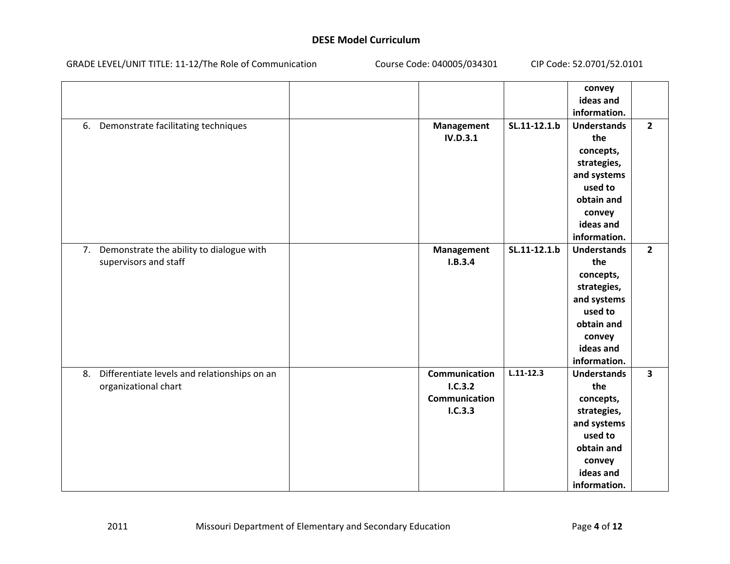|                                                 |                      |               | convey             |                         |
|-------------------------------------------------|----------------------|---------------|--------------------|-------------------------|
|                                                 |                      |               | ideas and          |                         |
|                                                 |                      |               | information.       |                         |
| 6. Demonstrate facilitating techniques          | <b>Management</b>    | SL.11-12.1.b  | <b>Understands</b> | $\overline{2}$          |
|                                                 | IV.D.3.1             |               | the                |                         |
|                                                 |                      |               | concepts,          |                         |
|                                                 |                      |               | strategies,        |                         |
|                                                 |                      |               | and systems        |                         |
|                                                 |                      |               | used to            |                         |
|                                                 |                      |               | obtain and         |                         |
|                                                 |                      |               | convey             |                         |
|                                                 |                      |               | ideas and          |                         |
|                                                 |                      |               | information.       |                         |
| 7. Demonstrate the ability to dialogue with     | <b>Management</b>    | SL.11-12.1.b  | <b>Understands</b> | $\overline{2}$          |
| supervisors and staff                           | I.B.3.4              |               | the                |                         |
|                                                 |                      |               | concepts,          |                         |
|                                                 |                      |               | strategies,        |                         |
|                                                 |                      |               | and systems        |                         |
|                                                 |                      |               | used to            |                         |
|                                                 |                      |               | obtain and         |                         |
|                                                 |                      |               | convey             |                         |
|                                                 |                      |               | ideas and          |                         |
|                                                 |                      |               | information.       |                         |
| 8. Differentiate levels and relationships on an | <b>Communication</b> | $L.11 - 12.3$ | <b>Understands</b> | $\overline{\mathbf{3}}$ |
| organizational chart                            | I.C.3.2              |               | the                |                         |
|                                                 | Communication        |               | concepts,          |                         |
|                                                 | 1.C.3.3              |               | strategies,        |                         |
|                                                 |                      |               | and systems        |                         |
|                                                 |                      |               | used to            |                         |
|                                                 |                      |               | obtain and         |                         |
|                                                 |                      |               | convey             |                         |
|                                                 |                      |               | ideas and          |                         |
|                                                 |                      |               | information.       |                         |

2011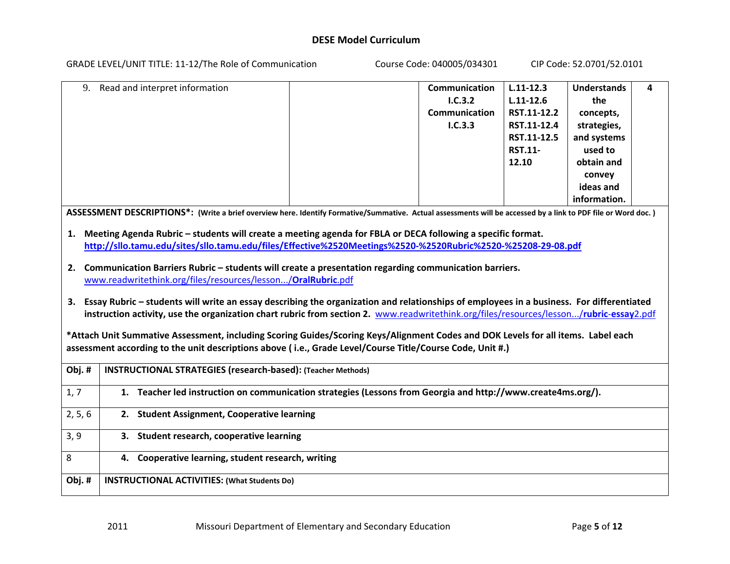GRADE LEVEL/UNIT TITLE: 11‐12/The Role of Communication Course Code: 040005/034301 CIP Code: 52.0701/52.0101

| 9. Read and interpret information | Communication | $L.11 - 12.3$  | <b>Understands</b> | 4 |
|-----------------------------------|---------------|----------------|--------------------|---|
|                                   | 1.C.3.2       | $L.11 - 12.6$  | the                |   |
|                                   | Communication | RST.11-12.2    | concepts,          |   |
|                                   | 1.C.3.3       | RST.11-12.4    | strategies,        |   |
|                                   |               | RST.11-12.5    | and systems        |   |
|                                   |               | <b>RST.11-</b> | used to            |   |
|                                   |               | 12.10          | obtain and         |   |
|                                   |               |                | convey             |   |
|                                   |               |                | ideas and          |   |
|                                   |               |                | information.       |   |

ASSESSMENT DESCRIPTIONS\*: (Write a brief overview here. Identify Formative/Summative. Actual assessments will be accessed by a link to PDF file or Word doc. )

- 1. Meeting Agenda Rubric students will create a meeting agenda for FBLA or DECA following a specific format. **http://sllo.tamu.edu/sites/sllo.tamu.edu/files/Effective%2520Meetings%2520‐%2520Rubric%2520‐%25208‐29‐08.pdf**
- **2. Communication Barriers Rubric – students will create <sup>a</sup> presentation regarding communication barriers.** www.readwritethink.org/files/resources/lesson.../**OralRubric**.pdf
- 3. Essay Rubric students will write an essay describing the organization and relationships of employees in a business. For differentiated **instruction activity, use the organization chart rubric from section 2.** www.readwritethink.org/files/resources/lesson.../**rubric**‐**essay**2.pdf

\*Attach Unit Summative Assessment, including Scoring Guides/Scoring Keys/Alignment Codes and DOK Levels for all items. Label each **assessment according to the unit descriptions above ( i.e., Grade Level/Course Title/Course Code, Unit #.)**

| Obj.#   | <b>INSTRUCTIONAL STRATEGIES (research-based): (Teacher Methods)</b>                                       |
|---------|-----------------------------------------------------------------------------------------------------------|
| 1, 7    | Teacher led instruction on communication strategies (Lessons from Georgia and http://www.create4ms.org/). |
| 2, 5, 6 | <b>Student Assignment, Cooperative learning</b><br>2.                                                     |
| 3, 9    | Student research, cooperative learning<br>З.                                                              |
| 8       | 4. Cooperative learning, student research, writing                                                        |
| Obj.#   | <b>INSTRUCTIONAL ACTIVITIES: (What Students Do)</b>                                                       |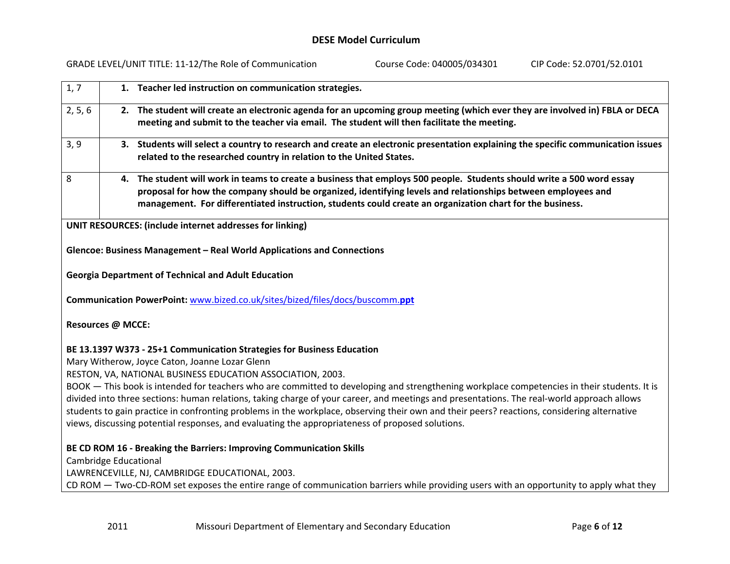GRADE LEVEL/UNIT TITLE: 11‐12/The Role of Communication Course Code: 040005/034301 CIP Code: 52.0701/52.0101

| 1, 7                     | 1. Teacher led instruction on communication strategies.                                                                                                                                                                                                                                   |
|--------------------------|-------------------------------------------------------------------------------------------------------------------------------------------------------------------------------------------------------------------------------------------------------------------------------------------|
| 2, 5, 6                  | 2. The student will create an electronic agenda for an upcoming group meeting (which ever they are involved in) FBLA or DECA<br>meeting and submit to the teacher via email. The student will then facilitate the meeting.                                                                |
|                          |                                                                                                                                                                                                                                                                                           |
| 3, 9                     | 3. Students will select a country to research and create an electronic presentation explaining the specific communication issues<br>related to the researched country in relation to the United States.                                                                                   |
| 8                        | 4. The student will work in teams to create a business that employs 500 people. Students should write a 500 word essay                                                                                                                                                                    |
|                          | proposal for how the company should be organized, identifying levels and relationships between employees and<br>management. For differentiated instruction, students could create an organization chart for the business.                                                                 |
|                          | UNIT RESOURCES: (include internet addresses for linking)                                                                                                                                                                                                                                  |
|                          | Glencoe: Business Management - Real World Applications and Connections                                                                                                                                                                                                                    |
|                          | <b>Georgia Department of Technical and Adult Education</b>                                                                                                                                                                                                                                |
|                          | Communication PowerPoint: www.bized.co.uk/sites/bized/files/docs/buscomm.ppt                                                                                                                                                                                                              |
| <b>Resources @ MCCE:</b> |                                                                                                                                                                                                                                                                                           |
|                          | BE 13.1397 W373 - 25+1 Communication Strategies for Business Education                                                                                                                                                                                                                    |
|                          | Mary Witherow, Joyce Caton, Joanne Lozar Glenn                                                                                                                                                                                                                                            |
|                          | RESTON, VA, NATIONAL BUSINESS EDUCATION ASSOCIATION, 2003.                                                                                                                                                                                                                                |
|                          | BOOK - This book is intended for teachers who are committed to developing and strengthening workplace competencies in their students. It is<br>divided into three sections: human relations, taking charge of your career, and meetings and presentations. The real-world approach allows |
|                          | students to gain practice in confronting problems in the workplace, observing their own and their peers? reactions, considering alternative                                                                                                                                               |
|                          | views, discussing potential responses, and evaluating the appropriateness of proposed solutions.                                                                                                                                                                                          |
|                          | BE CD ROM 16 - Breaking the Barriers: Improving Communication Skills                                                                                                                                                                                                                      |
| Cambridge Educational    |                                                                                                                                                                                                                                                                                           |
|                          | LAWRENCEVILLE, NJ, CAMBRIDGE EDUCATIONAL, 2003.                                                                                                                                                                                                                                           |
|                          | CD ROM - Two-CD-ROM set exposes the entire range of communication barriers while providing users with an opportunity to apply what they                                                                                                                                                   |
|                          |                                                                                                                                                                                                                                                                                           |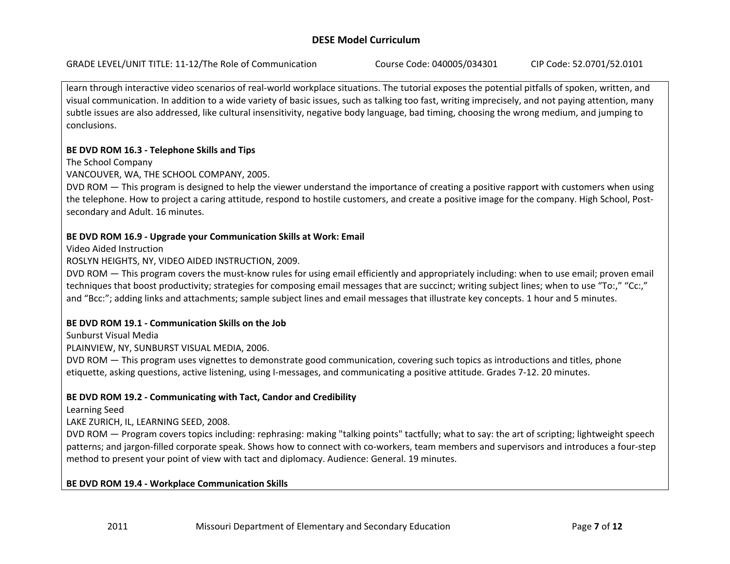learn through interactive video scenarios of real‐world workplace situations. The tutorial exposes the potential pitfalls of spoken, written, and visual communication. In addition to <sup>a</sup> wide variety of basic issues, such as talking too fast, writing imprecisely, and not paying attention, many subtle issues are also addressed, like cultural insensitivity, negative body language, bad timing, choosing the wrong medium, and jumping to conclusions.

# **BE DVD ROM 16.3 ‐ Telephone Skills and Tips**

The School Company

VANCOUVER, WA, THE SCHOOL COMPANY, 2005.

DVD ROM — This program is designed to help the viewer understand the importance of creating <sup>a</sup> positive rapport with customers when using the telephone. How to project <sup>a</sup> caring attitude, respond to hostile customers, and create <sup>a</sup> positive image for the company. High School, Post‐ secondary and Adult. 16 minutes.

### **BE DVD ROM 16.9 ‐ Upgrade your Communication Skills at Work: Email**

Video Aided Instruction

ROSLYN HEIGHTS, NY, VIDEO AIDED INSTRUCTION, 2009.

DVD ROM — This program covers the must‐know rules for using email efficiently and appropriately including: when to use email; proven email techniques that boost productivity; strategies for composing email messages that are succinct; writing subject lines; when to use "To:," "Cc:," and "Bcc:"; adding links and attachments; sample subject lines and email messages that illustrate key concepts. 1 hour and 5 minutes.

## **BE DVD ROM 19.1 ‐ Communication Skills on the Job**

Sunburst Visual Media

PLAINVIEW, NY, SUNBURST VISUAL MEDIA, 2006.

DVD ROM — This program uses vignettes to demonstrate good communication, covering such topics as introductions and titles, phone etiquette, asking questions, active listening, using I‐messages, and communicating <sup>a</sup> positive attitude. Grades 7‐12. 20 minutes.

## **BE DVD ROM 19.2 ‐ Communicating with Tact, Candor and Credibility**

Learning Seed

LAKE ZURICH, IL, LEARNING SEED, 2008.

DVD ROM — Program covers topics including: rephrasing: making "talking points" tactfully; what to say: the art of scripting; lightweight speech patterns; and jargon-filled corporate speak. Shows how to connect with co-workers, team members and supervisors and introduces a four-step method to present your point of view with tact and diplomacy. Audience: General. 19 minutes.

## **BE DVD ROM 19.4 ‐ Workplace Communication Skills**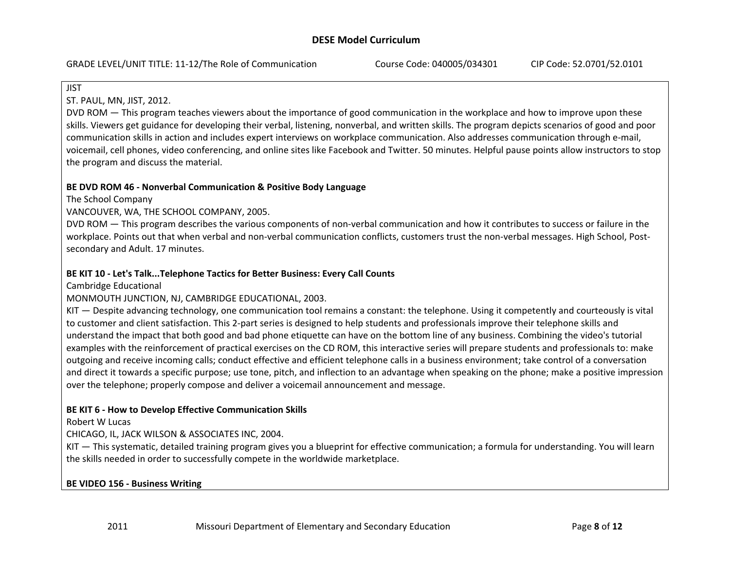### JIST

ST. PAUL, MN, JIST, 2012.

DVD ROM — This program teaches viewers about the importance of good communication in the workplace and how to improve upon these skills. Viewers get guidance for developing their verbal, listening, nonverbal, and written skills. The program depicts scenarios of good and poor communication skills in action and includes expert interviews on workplace communication. Also addresses communication through <sup>e</sup>‐mail, voicemail, cell phones, video conferencing, and online sites like Facebook and Twitter. 50 minutes. Helpful pause points allow instructors to stop the program and discuss the material.

# **BE DVD ROM 46 ‐ Nonverbal Communication & Positive Body Language**

The School Company

# VANCOUVER, WA, THE SCHOOL COMPANY, 2005.

DVD ROM — This program describes the various components of non‐verbal communication and how it contributes to success or failure in the workplace. Points out that when verbal and non-verbal communication conflicts, customers trust the non-verbal messages. High School, Postsecondary and Adult. 17 minutes.

# **BE KIT 10 ‐ Let's Talk...Telephone Tactics for Better Business: Every Call Counts**

Cambridge Educational

## MONMOUTH JUNCTION, NJ, CAMBRIDGE EDUCATIONAL, 2003.

KIT — Despite advancing technology, one communication tool remains <sup>a</sup> constant: the telephone. Using it competently and courteously is vital to customer and client satisfaction. This 2‐part series is designed to help students and professionals improve their telephone skills and understand the impact that both good and bad phone etiquette can have on the bottom line of any business. Combining the video's tutorial examples with the reinforcement of practical exercises on the CD ROM, this interactive series will prepare students and professionals to: make outgoing and receive incoming calls; conduct effective and efficient telephone calls in <sup>a</sup> business environment; take control of <sup>a</sup> conversation and direct it towards <sup>a</sup> specific purpose; use tone, pitch, and inflection to an advantage when speaking on the phone; make <sup>a</sup> positive impression over the telephone; properly compose and deliver <sup>a</sup> voicemail announcement and message.

# **BE KIT 6 ‐ How to Develop Effective Communication Skills**

Robert W Lucas

CHICAGO, IL, JACK WILSON & ASSOCIATES INC, 2004.

KIT — This systematic, detailed training program gives you <sup>a</sup> blueprint for effective communication; <sup>a</sup> formula for understanding. You will learn the skills needed in order to successfully compete in the worldwide marketplace.

# **BE VIDEO 156 ‐ Business Writing**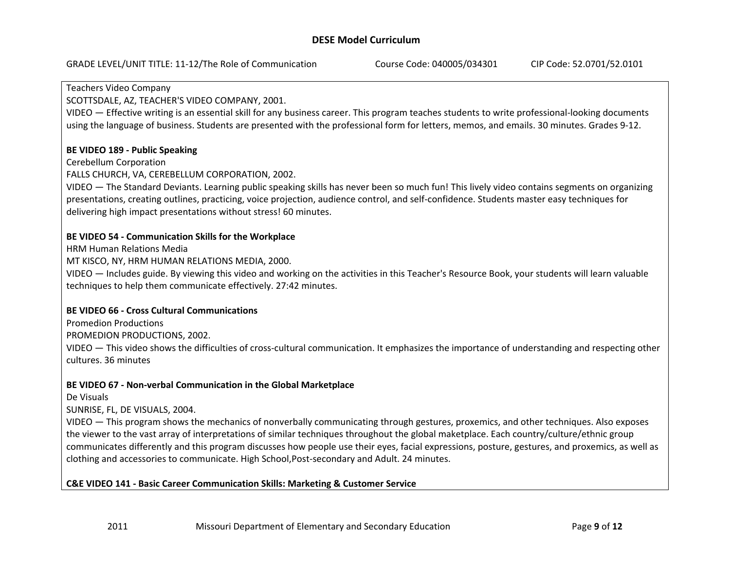#### Teachers Video Company

SCOTTSDALE, AZ, TEACHER'S VIDEO COMPANY, 2001.

VIDEO — Effective writing is an essential skill for any business career. This program teaches students to write professional‐looking documents using the language of business. Students are presented with the professional form for letters, memos, and emails. 30 minutes. Grades 9‐12.

## **BE VIDEO 189 ‐ Public Speaking**

Cerebellum Corporation

FALLS CHURCH, VA, CEREBELLUM CORPORATION, 2002.

VIDEO — The Standard Deviants. Learning public speaking skills has never been so much fun! This lively video contains segments on organizing presentations, creating outlines, practicing, voice projection, audience control, and self‐confidence. Students master easy techniques for delivering high impact presentations without stress! 60 minutes.

#### **BE VIDEO 54 ‐ Communication Skills for the Workplace**

HRM Human Relations Media

MT KISCO, NY, HRM HUMAN RELATIONS MEDIA, 2000.

VIDEO — Includes guide. By viewing this video and working on the activities in this Teacher's Resource Book, your students will learn valuable techniques to help them communicate effectively. 27:42 minutes.

#### **BE VIDEO 66 ‐ Cross Cultural Communications**

Promedion Productions

PROMEDION PRODUCTIONS, 2002.

VIDEO — This video shows the difficulties of cross-cultural communication. It emphasizes the importance of understanding and respecting other cultures. 36 minutes

## **BE VIDEO 67 ‐ Non‐verbal Communication in the Global Marketplace**

De Visuals

SUNRISE, FL, DE VISUALS, 2004.

VIDEO — This program shows the mechanics of nonverbally communicating through gestures, proxemics, and other techniques. Also exposes the viewer to the vast array of interpretations of similar techniques throughout the global maketplace. Each country/culture/ethnic group communicates differently and this program discusses how people use their eyes, facial expressions, posture, gestures, and proxemics, as well as clothing and accessories to communicate. High School,Post‐secondary and Adult. 24 minutes.

## **C&E VIDEO 141 ‐ Basic Career Communication Skills: Marketing & Customer Service**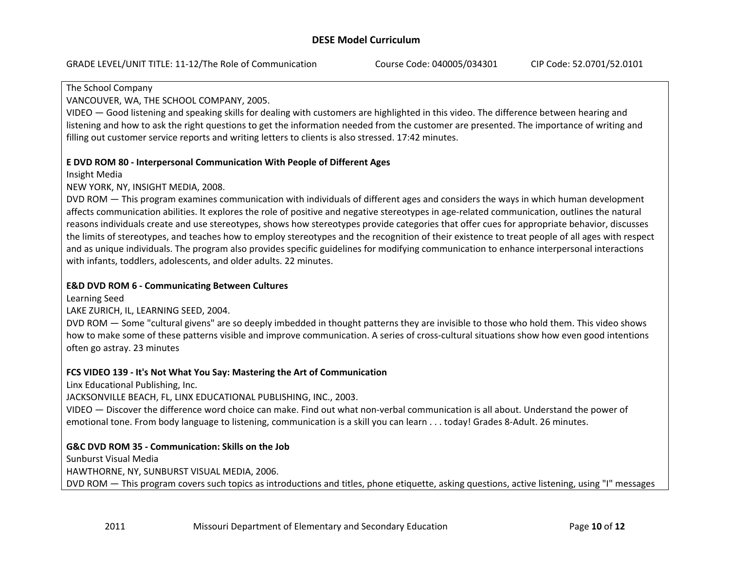#### The School Company

VANCOUVER, WA, THE SCHOOL COMPANY, 2005.

VIDEO — Good listening and speaking skills for dealing with customers are highlighted in this video. The difference between hearing and listening and how to ask the right questions to get the information needed from the customer are presented. The importance of writing and filling out customer service reports and writing letters to clients is also stressed. 17:42 minutes.

## **E DVD ROM 80 ‐ Interpersonal Communication With People of Different Ages**

Insight Media

NEW YORK, NY, INSIGHT MEDIA, 2008.

DVD ROM — This program examines communication with individuals of different ages and considers the ways in which human development affects communication abilities. It explores the role of positive and negative stereotypes in age‐related communication, outlines the natural reasons individuals create and use stereotypes, shows how stereotypes provide categories that offer cues for appropriate behavior, discusses the limits of stereotypes, and teaches how to employ stereotypes and the recognition of their existence to treat people of all ages with respect and as unique individuals. The program also provides specific guidelines for modifying communication to enhance interpersonal interactions with infants, toddlers, adolescents, and older adults. 22 minutes.

#### **E&D DVD ROM 6 ‐ Communicating Between Cultures**

Learning Seed

LAKE ZURICH, IL, LEARNING SEED, 2004.

DVD ROM — Some "cultural givens" are so deeply imbedded in thought patterns they are invisible to those who hold them. This video shows how to make some of these patterns visible and improve communication. A series of cross-cultural situations show how even good intentions often go astray. 23 minutes

## **FCS VIDEO 139 ‐ It's Not What You Say: Mastering the Art of Communication**

Linx Educational Publishing, Inc.

JACKSONVILLE BEACH, FL, LINX EDUCATIONAL PUBLISHING, INC., 2003.

VIDEO — Discover the difference word choice can make. Find out what non‐verbal communication is all about. Understand the power of emotional tone. From body language to listening, communication is <sup>a</sup> skill you can learn . . . today! Grades 8‐Adult. 26 minutes.

## **G&C DVD ROM 35 ‐ Communication: Skills on the Job**

Sunburst Visual Media

HAWTHORNE, NY, SUNBURST VISUAL MEDIA, 2006.

DVD ROM — This program covers such topics as introductions and titles, phone etiquette, asking questions, active listening, using "I" messages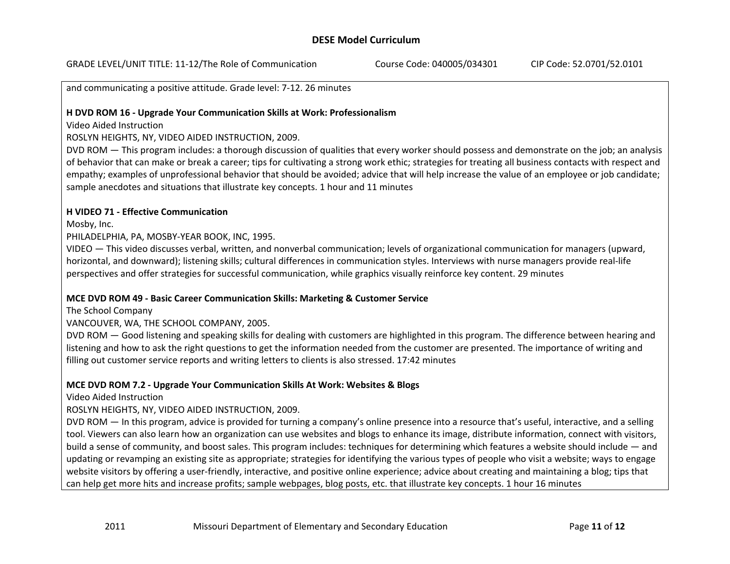and communicating <sup>a</sup> positive attitude. Grade level: 7‐12. 26 minutes

### **H DVD ROM 16 ‐ Upgrade Your Communication Skills at Work: Professionalism**

Video Aided Instruction

## ROSLYN HEIGHTS, NY, VIDEO AIDED INSTRUCTION, 2009.

DVD ROM — This program includes: <sup>a</sup> thorough discussion of qualities that every worker should possess and demonstrate on the job; an analysis of behavior that can make or break <sup>a</sup> career; tips for cultivating <sup>a</sup> strong work ethic; strategies for treating all business contacts with respect and empathy; examples of unprofessional behavior that should be avoided; advice that will help increase the value of an employee or job candidate; sample anecdotes and situations that illustrate key concepts. 1 hour and 11 minutes

## **H VIDEO 71 ‐ Effective Communication**

Mosby, Inc.

### PHILADELPHIA, PA, MOSBY‐YEAR BOOK, INC, 1995.

VIDEO — This video discusses verbal, written, and nonverbal communication; levels of organizational communication for managers (upward, horizontal, and downward); listening skills; cultural differences in communication styles. Interviews with nurse managers provide real‐life perspectives and offer strategies for successful communication, while graphics visually reinforce key content. 29 minutes

## **MCE DVD ROM 49 ‐ Basic Career Communication Skills: Marketing & Customer Service**

The School Company

## VANCOUVER, WA, THE SCHOOL COMPANY, 2005.

DVD ROM — Good listening and speaking skills for dealing with customers are highlighted in this program. The difference between hearing and listening and how to ask the right questions to get the information needed from the customer are presented. The importance of writing and filling out customer service reports and writing letters to clients is also stressed. 17:42 minutes

## **MCE DVD ROM 7.2 ‐ Upgrade Your Communication Skills At Work: Websites & Blogs**

Video Aided Instruction

## ROSLYN HEIGHTS, NY, VIDEO AIDED INSTRUCTION, 2009.

DVD ROM — In this program, advice is provided for turning <sup>a</sup> company's online presence into <sup>a</sup> resource that's useful, interactive, and <sup>a</sup> selling tool. Viewers can also learn how an organization can use websites and blogs to enhance its image, distribute information, connect with visitors, build <sup>a</sup> sense of community, and boost sales. This program includes: techniques for determining which features <sup>a</sup> website should include — and updating or revamping an existing site as appropriate; strategies for identifying the various types of people who visit <sup>a</sup> website; ways to engage website visitors by offering <sup>a</sup> user‐friendly, interactive, and positive online experience; advice about creating and maintaining <sup>a</sup> blog; tips that can help get more hits and increase profits; sample webpages, blog posts, etc. that illustrate key concepts. 1 hour 16 minutes